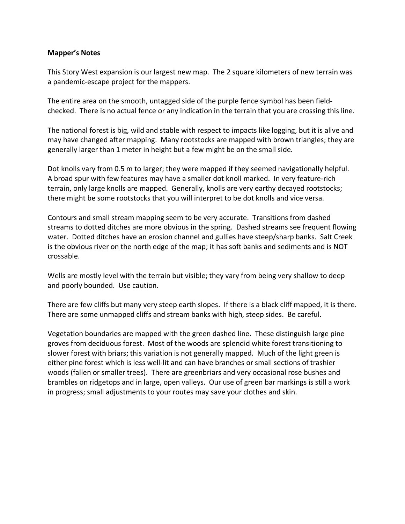## **Mapper's Notes**

This Story West expansion is our largest new map. The 2 square kilometers of new terrain was a pandemic-escape project for the mappers.

The entire area on the smooth, untagged side of the purple fence symbol has been fieldchecked. There is no actual fence or any indication in the terrain that you are crossing this line.

The national forest is big, wild and stable with respect to impacts like logging, but it is alive and may have changed after mapping. Many rootstocks are mapped with brown triangles; they are generally larger than 1 meter in height but a few might be on the small side.

Dot knolls vary from 0.5 m to larger; they were mapped if they seemed navigationally helpful. A broad spur with few features may have a smaller dot knoll marked. In very feature-rich terrain, only large knolls are mapped. Generally, knolls are very earthy decayed rootstocks; there might be some rootstocks that you will interpret to be dot knolls and vice versa.

Contours and small stream mapping seem to be very accurate. Transitions from dashed streams to dotted ditches are more obvious in the spring. Dashed streams see frequent flowing water. Dotted ditches have an erosion channel and gullies have steep/sharp banks. Salt Creek is the obvious river on the north edge of the map; it has soft banks and sediments and is NOT crossable.

Wells are mostly level with the terrain but visible; they vary from being very shallow to deep and poorly bounded. Use caution.

There are few cliffs but many very steep earth slopes. If there is a black cliff mapped, it is there. There are some unmapped cliffs and stream banks with high, steep sides. Be careful.

Vegetation boundaries are mapped with the green dashed line. These distinguish large pine groves from deciduous forest. Most of the woods are splendid white forest transitioning to slower forest with briars; this variation is not generally mapped. Much of the light green is either pine forest which is less well-lit and can have branches or small sections of trashier woods (fallen or smaller trees). There are greenbriars and very occasional rose bushes and brambles on ridgetops and in large, open valleys. Our use of green bar markings is still a work in progress; small adjustments to your routes may save your clothes and skin.